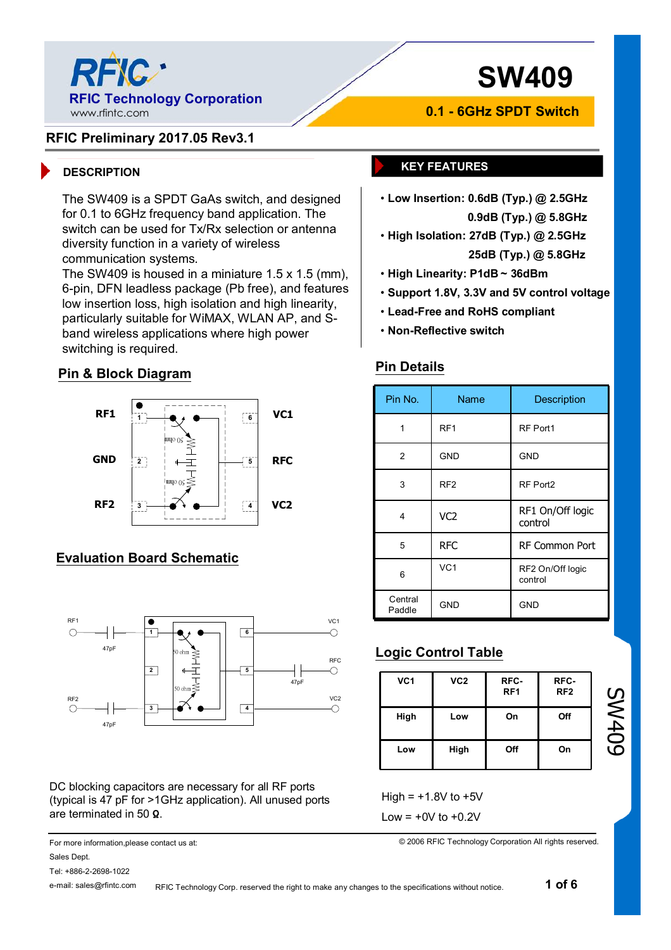

# **SW409**

#### **RFIC Preliminary 2017.05 Rev3.1**

The SW409 is a SPDT GaAs switch, and designed for 0.1 to 6GHz frequency band application. The switch can be used for Tx/Rx selection or antenna diversity function in a variety of wireless communication systems.

The SW409 is housed in a miniature 1.5 x 1.5 (mm), 6-pin, DFN leadless package (Pb free), and features low insertion loss, high isolation and high linearity, particularly suitable for WiMAX, WLAN AP, and Sband wireless applications where high power switching is required.

#### **Pin & Block Diagram**



#### **Evaluation Board Schematic**



DC blocking capacitors are necessary for all RF ports (typical is 47 pF for >1GHz application). All unused ports are terminated in 50 **Ω**.

For more information,please contact us at: Sales Dept.

Tel: +886-2-2698-1022

e-mail: sales@rfintc.com

**0.1 - 6GHz SPDT Switch**

#### **DESCRIPTION KEY FEATURES**

• **Low Insertion: 0.6dB (Typ.) @ 2.5GHz**

**0.9dB (Typ.) @ 5.8GHz**

- **High Isolation: 27dB (Typ.) @ 2.5GHz 25dB (Typ.) @ 5.8GHz**
- **High Linearity: P1dB ~ 36dBm**
- **Support 1.8V, 3.3V and 5V control voltage**
- **Lead-Free and RoHS compliant**
- **Non-Reflective switch**

#### **Pin Details**

| Pin No.           | Name            | Description                 |
|-------------------|-----------------|-----------------------------|
| 1                 | RF <sub>1</sub> | RF Port1                    |
| 2                 | <b>GND</b>      | <b>GND</b>                  |
| 3                 | RF <sub>2</sub> | RF Port2                    |
| 4                 | VC <sub>2</sub> | RF1 On/Off logic<br>control |
| 5                 | <b>RFC</b>      | <b>RF Common Port</b>       |
| 6                 | VC <sub>1</sub> | RF2 On/Off logic<br>control |
| Central<br>Paddle | <b>GND</b>      | <b>GND</b>                  |

### **Logic Control Table**

| VC <sub>1</sub> | VC <sub>2</sub> | RFC-<br>RF <sub>1</sub> | RFC-<br>RF <sub>2</sub> |
|-----------------|-----------------|-------------------------|-------------------------|
| High            | Low             | On                      | Off                     |
| Low             | High            | Off                     | On                      |

Low  $= +0V$  to  $+0.2V$ 

© 2006 RFIC Technology Corporation All rights reserved.

RFIC Technology Corp. reserved the right to make any changes to the specifications without notice.

SW409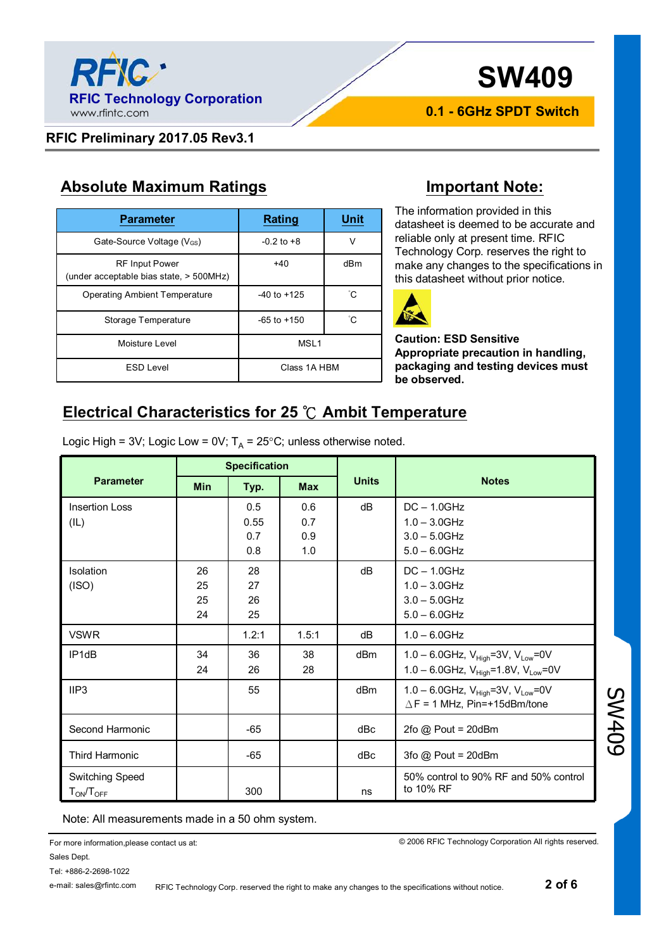

# **SW409**

**0.1 - 6GHz SPDT Switch**

#### **RFIC Preliminary 2017.05 Rev3.1**

RF Input Power (under acceptable bias state, > 500MHz)

#### **Absolute Maximum Ratings Important Note:**

The information provided in this datasheet is deemed to be accurate and reliable only at present time. RFIC Technology Corp. reserves the right to make any changes to the specifications in this datasheet without prior notice.



**Caution: ESD Sensitive Appropriate precaution in handling, packaging and testing devices must be observed.**

### **Electrical Characteristics for 25 ℃ Ambit Temperature**

+40 dBm

Logic High = 3V; Logic Low = 0V;  $T_A$  = 25°C; unless otherwise noted.

**Parameter Rating Unit** 

Gate-Source Voltage  $(V_{GS})$   $-0.2$  to +8 V

Operating Ambient Temperature | -40 to +125 | 
C

Moisture Level **MSL1** 

Storage Temperature **1** -65 to +150 **C** 

ESD Level and Class 1A HBM

|                       | <b>Specification</b> |       |            |                 |                                                           |  |  |  |
|-----------------------|----------------------|-------|------------|-----------------|-----------------------------------------------------------|--|--|--|
| <b>Parameter</b>      | <b>Min</b>           | Typ.  | <b>Max</b> | <b>Units</b>    | <b>Notes</b>                                              |  |  |  |
| <b>Insertion Loss</b> |                      | 0.5   | 0.6        | dB              | $DC - 1.0GHz$                                             |  |  |  |
| (IL)                  |                      | 0.55  | 0.7        |                 | $1.0 - 3.0$ GHz                                           |  |  |  |
|                       |                      | 0.7   | 0.9        |                 | $3.0 - 5.0$ GHz                                           |  |  |  |
|                       |                      | 0.8   | 1.0        |                 | $5.0 - 6.0$ GHz                                           |  |  |  |
| Isolation             | 26                   | 28    |            | dB              | $DC - 1.0GHz$                                             |  |  |  |
| (ISO)                 | 25                   | 27    |            |                 | $1.0 - 3.0$ GHz                                           |  |  |  |
|                       | 25                   | 26    |            |                 | $3.0 - 5.0$ GHz                                           |  |  |  |
|                       | 24                   | 25    |            |                 | $5.0 - 6.0$ GHz                                           |  |  |  |
| <b>VSWR</b>           |                      | 1.2:1 | 1.5:1      | dB              | $1.0 - 6.0$ GHz                                           |  |  |  |
| IP <sub>1dB</sub>     | 34                   | 36    | 38         | d <sub>Bm</sub> | 1.0 - 6.0GHz, $V_{\text{High}}$ =3V, $V_{\text{Low}}$ =0V |  |  |  |
|                       | 24                   | 26    | 28         |                 | 1.0 - 6.0GHz, $V_{High} = 1.8V$ , $V_{Low} = 0V$          |  |  |  |
| IIP3                  |                      | 55    |            | dBm             | 1.0 - 6.0GHz, $V_{High}$ =3V, $V_{Low}$ =0V               |  |  |  |
|                       |                      |       |            |                 | $\triangle$ F = 1 MHz, Pin=+15dBm/tone                    |  |  |  |
| Second Harmonic       |                      | $-65$ |            | dBc             | $2f$ o @ Pout = $20d$ Bm                                  |  |  |  |
| <b>Third Harmonic</b> |                      | $-65$ |            | dBc             | 3fo $@$ Pout = 20dBm                                      |  |  |  |
| Switching Speed       |                      |       |            |                 | 50% control to 90% RF and 50% control                     |  |  |  |
| $T_{ON}/T_{OFF}$      |                      | 300   |            | ns              | to 10% RF                                                 |  |  |  |

Note: All measurements made in a 50 ohm system.

For more information,please contact us at: Sales Dept.

© 2006 RFIC Technology Corporation All rights reserved.

Tel: +886-2-2698-1022

e-mail: sales@rfintc.com

RFIC Technology Corp. reserved the right to make any changes to the specifications without notice.

SW409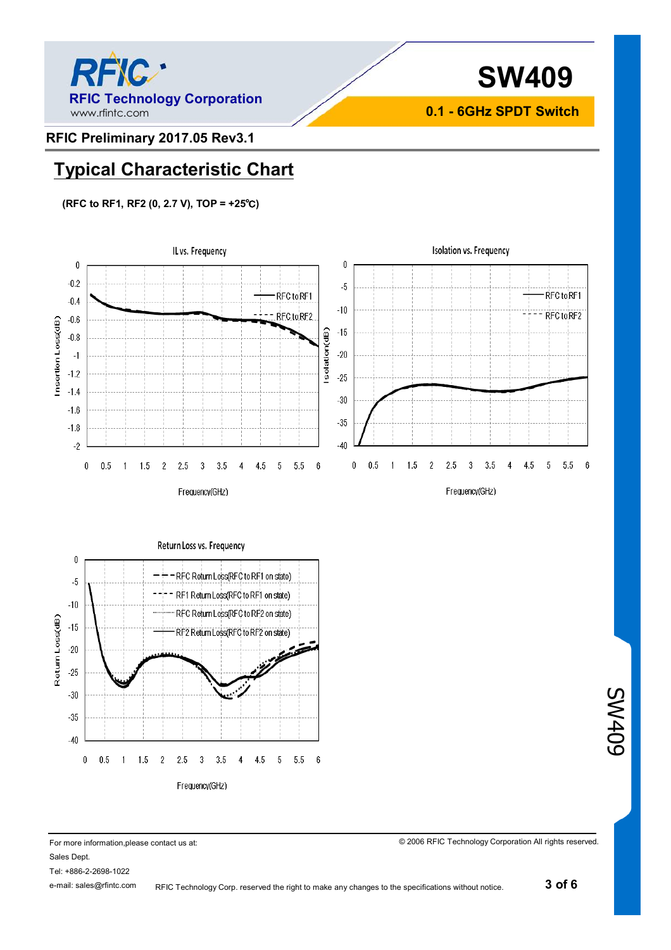



**0.1 - 6GHz SPDT Switch**

#### **RFIC Preliminary 2017.05 Rev3.1**

### **Typical Characteristic Chart**

#### **(RFC to RF1, RF2 (0, 2.7 V), TOP = +25℃)**





© 2006 RFIC Technology Corporation All rights reserved.

SW409

For more information,please contact us at: Sales Dept.

Tel: +886-2-2698-1022

e-mail: sales@rfintc.com

RFIC Technology Corp. reserved the right to make any changes to the specifications without notice.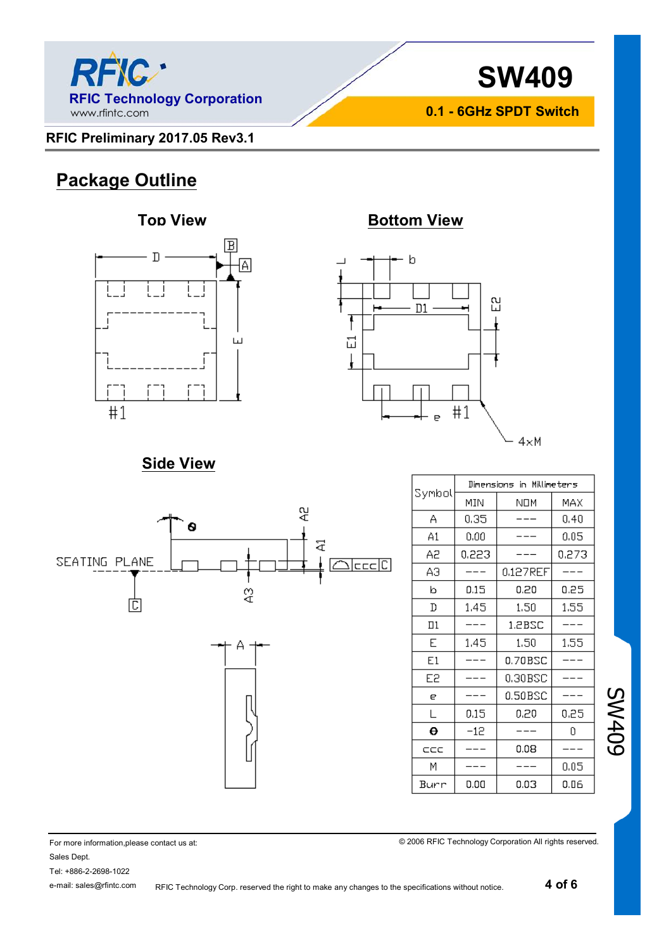



**0.1 - 6GHz SPDT Switch**

#### **RFIC Preliminary 2017.05 Rev3.1**

## **Package Outline**





### **Side View**



| Symbol | Dimensions in Millimeters |          |       |  |  |  |
|--------|---------------------------|----------|-------|--|--|--|
|        | MIN                       | NOM      | MAX   |  |  |  |
| А      | 0,35                      |          | 0.40  |  |  |  |
| A1     | 0.00                      |          | 0.05  |  |  |  |
| Α2     | 0,223                     |          | 0.273 |  |  |  |
| ΑЭ     |                           | 0.127REF |       |  |  |  |
| b      | 0.15                      | 0.20     | 0.25  |  |  |  |
| D      | 1.45                      | 1.50     | 1.55  |  |  |  |
| Πl     |                           | 1.2BSC   |       |  |  |  |
| E      | 1.45                      | 1,50     | 1,55  |  |  |  |
| E1     |                           | 0.70BSC  |       |  |  |  |
| E2     |                           | 0.30BSC  |       |  |  |  |
| е      |                           | 0.50BSC  |       |  |  |  |
| L      | 0.15                      | 0.20     | 0.25  |  |  |  |
| θ      | $-12$                     |          | Ω     |  |  |  |
| CCC    |                           | 0.08     |       |  |  |  |
| М      |                           |          | 0.05  |  |  |  |
| Burr   | 0.00                      | 0.03     | 0.06  |  |  |  |

© 2006 RFIC Technology Corporation All rights reserved.

SW409

For more information,please contact us at: Sales Dept.

Tel: +886-2-2698-1022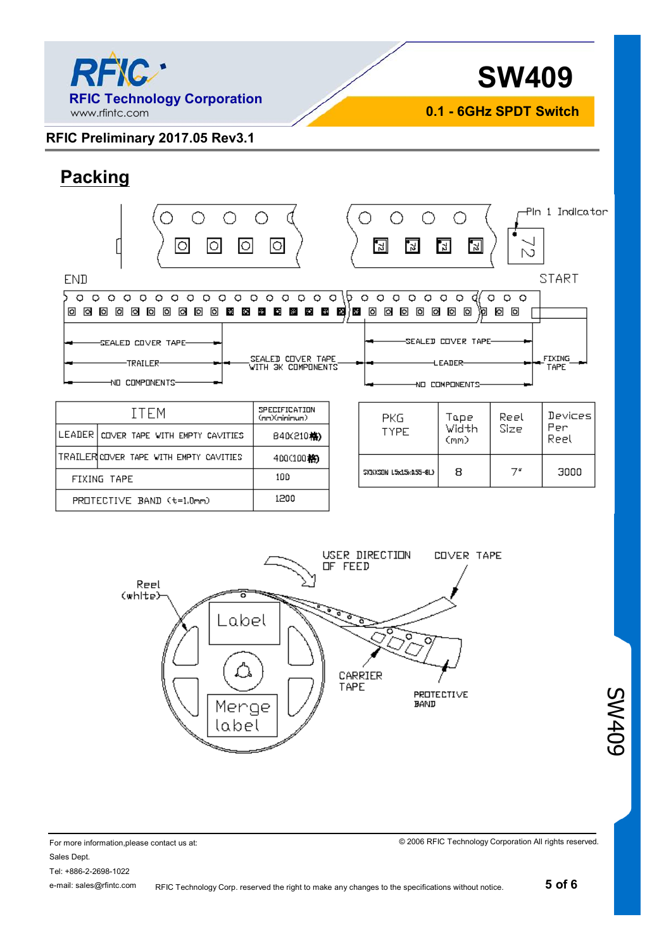

**SW409**

**0.1 - 6GHz SPDT Switch**

#### **RFIC Preliminary 2017.05 Rev3.1**

PROTECTIVE BAND (t=1.0mm)

# **Packing**

| Ю<br>0<br><b>END</b>                                                                          | ○<br>lоl                                                    |              | 圆<br>$\frac{2}{3}$                            | ∩<br>입<br>먾.       | N            | -Pln 1 Indicator<br><b>START</b> |  |
|-----------------------------------------------------------------------------------------------|-------------------------------------------------------------|--------------|-----------------------------------------------|--------------------|--------------|----------------------------------|--|
| $\circ$<br>$\circ$<br>O<br>$\circ$<br>$\circ$<br>o<br>O<br>$\circ$<br>$\circ$<br>$\circ$<br>O | O<br>$\circ$<br>$\circ$<br>O<br>$\circ$                     | $\circ$<br>Þ | $\circ$<br>O<br>$\circ$<br>$\circ$<br>$\circ$ | $\circ$<br>$\circ$ | O<br>$O$ $O$ |                                  |  |
| o<br>ब<br>◙<br><b>G</b><br>ы<br>同<br>ाञ<br>o<br>ाञ<br>Ba)<br>ES.<br>юI                        | в<br>密<br>æ.<br>$\mathcal{L}^{\mathcal{L}}$<br><b>Pitch</b> | 32 P R R     | $\circ$<br>o<br>o<br>⋒                        | 이 回<br>o<br>洄      | Ø<br>Ō       |                                  |  |
|                                                                                               |                                                             |              |                                               |                    |              |                                  |  |
| SEALED COVER TAPE-                                                                            |                                                             |              | SEALED COVER TAPE-                            |                    |              |                                  |  |
| SEALED COVER TAPE<br>-TRAILER-<br>WITH ЭК СОМРОМЕМТS                                          |                                                             |              | FIXING<br><b>LEADER</b><br>TAPE               |                    |              |                                  |  |
| -NO COMPONENTS-                                                                               |                                                             |              | АО СОМРОМЕМТ2-                                |                    |              |                                  |  |
|                                                                                               |                                                             |              |                                               |                    |              |                                  |  |
| <b>ITEM</b>                                                                                   | SPECIFICATION<br>(nm)(nininum)                              |              | <b>PKG</b>                                    | Tape               | Reel         | Devices                          |  |
| LEADER<br>COVER TAPE WITH EMPTY CAVITIES                                                      | B40(210格)                                                   |              | <b>TYPE</b>                                   | Width<br>(mm)      | Size         | Per<br>Reel                      |  |
| TRAILERICOVER TAPE WITH EMPTY CAVITIES                                                        | 400(100格)                                                   |              |                                               |                    |              |                                  |  |
| FIXING TAPE                                                                                   | 100                                                         |              | SKIKSON 15:15:15:155-813                      | 8                  | 7"           | 3000                             |  |



1200

For more information,please contact us at: Sales Dept. Tel: +886-2-2698-1022 e-mail: sales@rfintc.com

© 2006 RFIC Technology Corporation All rights reserved.

SW409